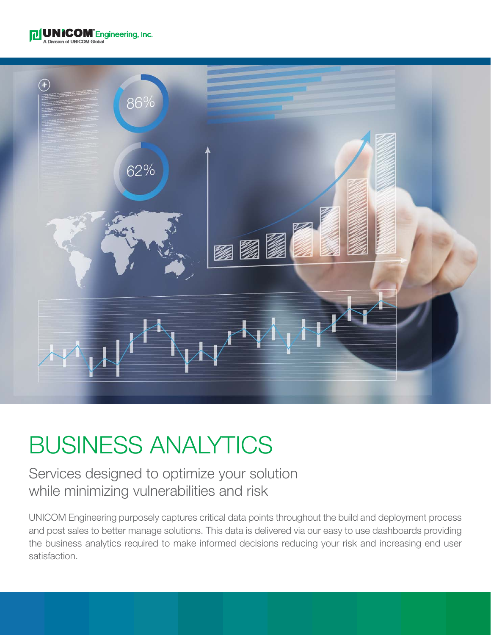



# BUSINESS ANALYTICS

### Services designed to optimize your solution while minimizing vulnerabilities and risk

UNICOM Engineering purposely captures critical data points throughout the build and deployment process and post sales to better manage solutions. This data is delivered via our easy to use dashboards providing the business analytics required to make informed decisions reducing your risk and increasing end user satisfaction.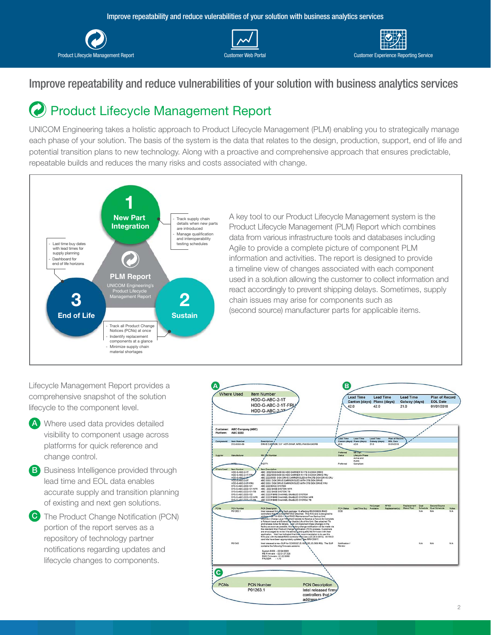





#### Improve repeatability and reduce vulnerabilities of your solution with business analytics services

## Product Lifecycle Management Report

UNICOM Engineering takes a holistic approach to Product Lifecycle Management (PLM) enabling you to strategically manage each phase of your solution. The basis of the system is the data that relates to the design, production, support, end of life and potential transition plans to new technology. Along with a proactive and comprehensive approach that ensures predictable, repeatable builds and reduces the many risks and costs associated with change.



A key tool to our Product Lifecycle Management system is the Product Lifecycle Management (PLM) Report which combines data from various infrastructure tools and databases including Agile to provide a complete picture of component PLM information and activities. The report is designed to provide a timeline view of changes associated with each component used in a solution allowing the customer to collect information and react accordingly to prevent shipping delays. Sometimes, supply chain issues may arise for components such as (second source) manufacturer parts for applicable items.

Lifecycle Management Report provides a comprehensive snapshot of the solution lifecycle to the component level.

- Where used data provides detailed **A** visibility to component usage across platforms for quick reference and change control.
- **B** Business Intelligence provided through lead time and EOL data enables accurate supply and transition planning of existing and next gen solutions.
- **C** The Product Change Notification (PCN) portion of the report serves as a repository of technology partner notifications regarding updates and lifecycle changes to components.

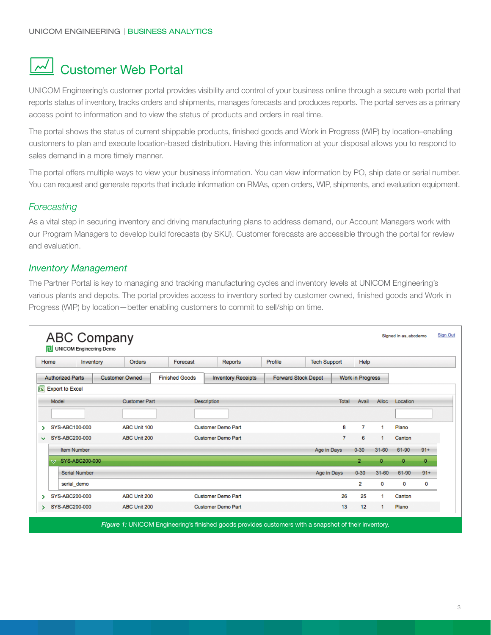# **M** Customer Web Portal

UNICOM Engineering's customer portal provides visibility and control of your business online through a secure web portal that reports status of inventory, tracks orders and shipments, manages forecasts and produces reports. The portal serves as a primary access point to information and to view the status of products and orders in real time.

The portal shows the status of current shippable products, finished goods and Work in Progress (WIP) by location–enabling customers to plan and execute location-based distribution. Having this information at your disposal allows you to respond to sales demand in a more timely manner.

The portal offers multiple ways to view your business information. You can view information by PO, ship date or serial number. You can request and generate reports that include information on RMAs, open orders, WIP, shipments, and evaluation equipment.

#### *Forecasting*

As a vital step in securing inventory and driving manufacturing plans to address demand, our Account Managers work with our Program Managers to develop build forecasts (by SKU). Customer forecasts are accessible through the portal for review and evaluation.

#### *Inventory Management*

The Partner Portal is key to managing and tracking manufacturing cycles and inventory levels at UNICOM Engineering's various plants and depots. The portal provides access to inventory sorted by customer owned, finished goods and Work in Progress (WIP) by location—better enabling customers to commit to sell/ship on time.

| Home         |                                                  | Inventory            | Orders                                             | Forecast | Reports                    | Profile | <b>Tech Support</b> |                | Help           |              |          |       |
|--------------|--------------------------------------------------|----------------------|----------------------------------------------------|----------|----------------------------|---------|---------------------|----------------|----------------|--------------|----------|-------|
|              | <b>Authorized Parts</b><br><b>Customer Owned</b> |                      | <b>Finished Goods</b><br><b>Inventory Receipts</b> |          | <b>Forward Stock Depot</b> |         | Work in Progress    |                |                |              |          |       |
|              |                                                  | $x$ Export to Excel  |                                                    |          |                            |         |                     |                |                |              |          |       |
|              | Model                                            |                      | <b>Customer Part</b>                               |          | <b>Description</b>         |         |                     | <b>Total</b>   | Avail          | Alloc        | Location |       |
|              |                                                  |                      |                                                    |          |                            |         |                     |                |                |              |          |       |
| >            |                                                  | SYS-ABC100-000       | ABC Unit 100                                       |          | <b>Customer Demo Part</b>  |         |                     | 8              | 7              | 1            | Plano    |       |
| $\checkmark$ |                                                  | SYS-ABC200-000       | ABC Unit 200                                       |          | <b>Customer Demo Part</b>  |         |                     | $\overline{7}$ | 6              | 1            | Canton   |       |
|              |                                                  | <b>Item Number</b>   |                                                    |          |                            |         | Age in Days         |                | $0 - 30$       | $31 - 60$    | 61-90    | $91+$ |
|              | ∾                                                | SYS-ABC200-000       |                                                    |          |                            |         |                     |                | $\overline{2}$ | $\mathbf{0}$ | $\circ$  | 0     |
|              |                                                  | <b>Serial Number</b> |                                                    |          |                            |         | Age in Days         |                | $0 - 30$       | $31 - 60$    | 61-90    | $91+$ |
|              |                                                  | serial demo          |                                                    |          |                            |         |                     |                | 2              | 0            | 0        | 0     |
| >            |                                                  | SYS-ABC200-000       | ABC Unit 200                                       |          | <b>Customer Demo Part</b>  |         |                     | 26             | 25             | 1            | Canton   |       |
| >            |                                                  | SYS-ABC200-000       | ABC Unit 200                                       |          | <b>Customer Demo Part</b>  |         |                     | 13             | 12             | 1            | Plano    |       |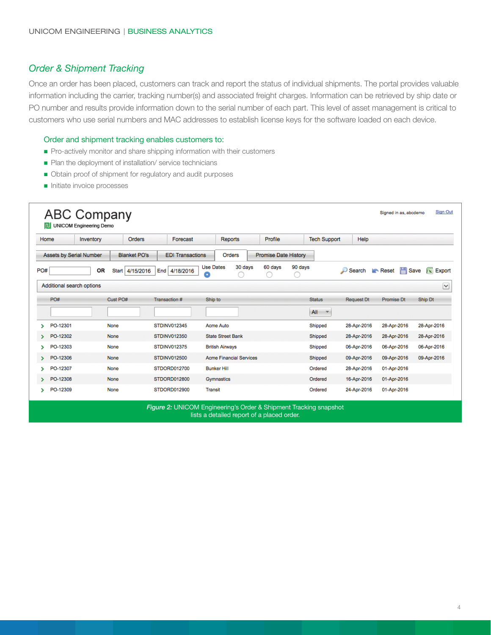#### *Order & Shipment Tracking*

Once an order has been placed, customers can track and report the status of individual shipments. The portal provides valuable information including the carrier, tracking number(s) and associated freight charges. Information can be retrieved by ship date or PO number and results provide information down to the serial number of each part. This level of asset management is critical to customers who use serial numbers and MAC addresses to establish license keys for the software loaded on each device.

#### Order and shipment tracking enables customers to:

- n Pro-actively monitor and share shipping information with their customers
- Plan the deployment of installation/ service technicians
- Obtain proof of shipment for regulatory and audit purposes
- **n** Initiate invoice processes

|     | Home<br>Inventory              | Orders                          | Forecast                | <b>Reports</b>                   | Profile                        | <b>Tech Support</b> | Help              |                   |                             |
|-----|--------------------------------|---------------------------------|-------------------------|----------------------------------|--------------------------------|---------------------|-------------------|-------------------|-----------------------------|
|     | <b>Assets by Serial Number</b> | <b>Blanket PO's</b>             | <b>EDI Transactions</b> | <b>Orders</b>                    | <b>Promise Date History</b>    |                     |                   |                   |                             |
| PO# |                                | <b>OR</b><br>4/15/2016<br>Start | End 4/18/2016           | <b>Use Dates</b><br>30 days<br>o | 60 days<br>90 days<br>ω<br>. . |                     | $\Box$ Search     | 삅<br>Reset        | $\mathbf{X}$ Export<br>Save |
|     | Additional search options      |                                 |                         |                                  |                                |                     |                   |                   | $\triangleright$            |
|     | PO#                            | Cust PO#                        | Transaction #           | Ship to                          |                                | Status              | <b>Request Dt</b> | <b>Promise Dt</b> | Ship Dt                     |
|     |                                |                                 |                         |                                  |                                | All<br>×            |                   |                   |                             |
| Y.  | PO-12301                       | None                            | <b>STDINV012345</b>     | Acme Auto                        |                                | Shipped             | 28-Apr-2016       | 28-Apr-2016       | 28-Apr-2016                 |
| >   | PO-12302                       | <b>None</b>                     | <b>STDINV012350</b>     | <b>State Street Bank</b>         |                                | Shipped             | 28-Apr-2016       | 28-Apr-2016       | 28-Apr-2016                 |
| ×.  | PO-12303                       | None                            | <b>STDINV012375</b>     | <b>British Airways</b>           |                                | Shipped             | 06-Apr-2016       | 06-Apr-2016       | 06-Apr-2016                 |
| ×.  | PO-12306                       | <b>None</b>                     | <b>STDINV012500</b>     | <b>Acme Financial Services</b>   |                                | Shipped             | 09-Apr-2016       | 09-Apr-2016       | 09-Apr-2016                 |
| У   | PO-12307                       | None                            | STDORD012700            | <b>Bunker Hill</b>               |                                | Ordered             | 28-Apr-2016       | 01-Apr-2016       |                             |
| ×.  | PO-12308                       | <b>None</b>                     | STDORD012800            | Gymnastics                       |                                | Ordered             | 16-Apr-2016       | 01-Apr-2016       |                             |
| ъ.  | PO-12309                       | None                            | STDORD012900            | Transit                          |                                | Ordered             | 24-Apr-2016       | 01-Apr-2016       |                             |

*Figure 2:* UNICOM Engineering's Order & Shipment Tracking snapshot lists a detailed report of a placed order.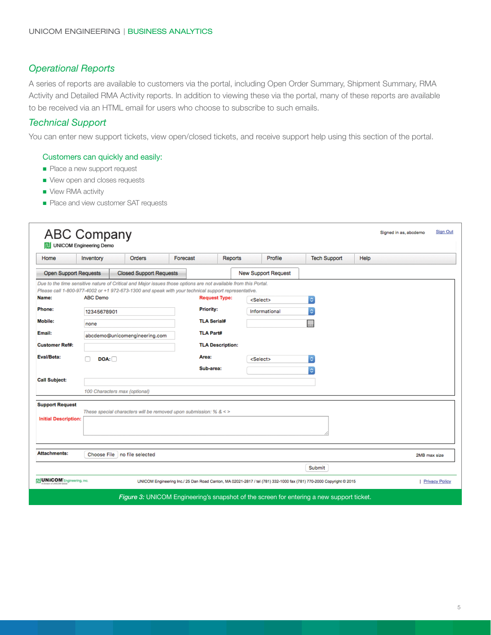#### *Operational Reports*

A series of reports are available to customers via the portal, including Open Order Summary, Shipment Summary, RMA Activity and Detailed RMA Activity reports. In addition to viewing these via the portal, many of these reports are available to be received via an HTML email for users who choose to subscribe to such emails.

#### *Technical Support*

You can enter new support tickets, view open/closed tickets, and receive support help using this section of the portal.

#### Customers can quickly and easily:

- Place a new support request
- view open and closes requests
- View RMA activity
- Place and view customer SAT requests

| Home                         | Inventory       | <b>Orders</b>                                                                                                   | Forecast |                                                            | <b>Reports</b> | Profile                    | <b>Tech Support</b>  | Help |              |
|------------------------------|-----------------|-----------------------------------------------------------------------------------------------------------------|----------|------------------------------------------------------------|----------------|----------------------------|----------------------|------|--------------|
| <b>Open Support Requests</b> |                 | <b>Closed Support Requests</b>                                                                                  |          |                                                            |                | <b>New Support Request</b> |                      |      |              |
|                              |                 | Due to the time sensitive nature of Critical and Major issues those options are not available from this Portal. |          |                                                            |                |                            |                      |      |              |
| Name:                        | <b>ABC Demo</b> | Please call 1-800-977-4002 or +1 972-673-1300 and speak with your technical support representative.             |          | <b>Request Type:</b>                                       |                | <select></select>          | $\mathbb{C}^2$       |      |              |
| Phone:                       | 12345678901     |                                                                                                                 |          | <b>Priority:</b><br><b>TLA Serial#</b><br><b>TLA Part#</b> |                | Informational              | $\Diamond$           |      |              |
| <b>Mobile:</b>               |                 |                                                                                                                 |          |                                                            |                |                            |                      |      |              |
| Email:                       | none            |                                                                                                                 |          |                                                            |                |                            |                      |      |              |
|                              |                 | abcdemo@unicomengineering.com                                                                                   |          |                                                            |                |                            |                      |      |              |
| <b>Customer Ref#:</b>        |                 |                                                                                                                 |          | <b>TLA Description:</b>                                    |                |                            |                      |      |              |
| Eval/Beta:                   | DOA:            |                                                                                                                 |          | Area:                                                      |                | <select></select>          | $ \hat{\mathbf{c}} $ |      |              |
|                              |                 |                                                                                                                 |          | Sub-area:                                                  |                |                            | ¢.                   |      |              |
| <b>Call Subject:</b>         |                 |                                                                                                                 |          |                                                            |                |                            |                      |      |              |
|                              |                 | 100 Characters max (optional)                                                                                   |          |                                                            |                |                            |                      |      |              |
| <b>Support Request</b>       |                 |                                                                                                                 |          |                                                            |                |                            |                      |      |              |
| <b>Initial Description:</b>  |                 | These special characters will be removed upon submission: % $<$ >                                               |          |                                                            |                |                            |                      |      |              |
|                              |                 |                                                                                                                 |          |                                                            |                |                            |                      |      |              |
|                              |                 |                                                                                                                 |          |                                                            |                |                            |                      |      |              |
| <b>Attachments:</b>          |                 |                                                                                                                 |          |                                                            |                |                            |                      |      |              |
|                              | Choose File     | no file selected                                                                                                |          |                                                            |                |                            |                      |      | 2MB max size |
|                              |                 |                                                                                                                 |          |                                                            |                |                            | Submit               |      |              |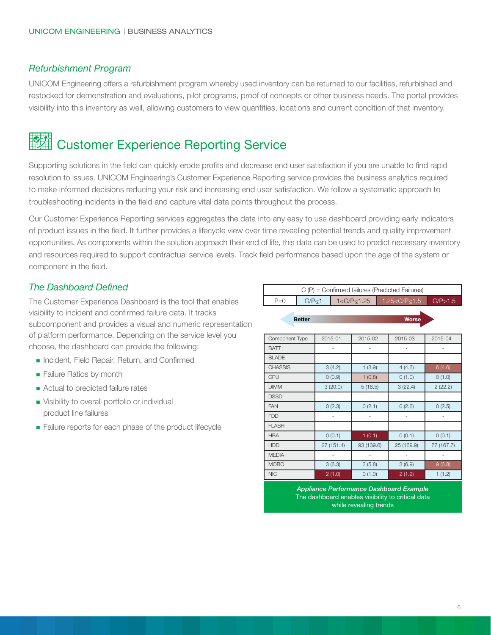#### *Refurbishment Program*

UNICOM Engineering offers a refurbishment program whereby used inventory can be returned to our facilities, refurbished and restocked for demonstration and evaluations, pilot programs, proof of concepts or other business needs. The portal provides visibility into this inventory as well, allowing customers to view quantities, locations and current condition of that inventory.

# **CAL Customer Experience Reporting Service**

Supporting solutions in the field can quickly erode profits and decrease end user satisfaction if you are unable to find rapid resolution to issues. UNICOM Engineering's Customer Experience Reporting service provides the business analytics required to make informed decisions reducing your risk and increasing end user satisfaction. We follow a systematic approach to troubleshooting incidents in the field and capture vital data points throughout the process.

Our Customer Experience Reporting services aggregates the data into any easy to use dashboard providing early indicators of product issues in the field. It further provides a lifecycle view over time revealing potential trends and quality improvement opportunities. As components within the solution approach their end of life, this data can be used to predict necessary inventory and resources required to support contractual service levels. Track field performance based upon the age of the system or component in the field.

#### *The Dashboard Defined*

The Customer Experience Dashboard is the tool that enables visibility to incident and confirmed failure data. It tracks subcomponent and provides a visual and numeric representation of platform performance. Depending on the service level you choose, the dashboard can provide the following:

- **n** Incident, Field Repair, Return, and Confirmed
- **Failure Ratios by month**
- **n** Actual to predicted failure rates
- **Nisibility to overall portfolio or individual** product line failures
- Failure reports for each phase of the product lifecycle

|              | $C(P)$ = Confirmed failures (Predicted Failures) |  |                                               |  |  |  |
|--------------|--------------------------------------------------|--|-----------------------------------------------|--|--|--|
| $P = \Omega$ | C/P<1                                            |  | $1 < C/P < 1.25$ 1.25 $< C/P < 1.5$ C/P > 1.5 |  |  |  |
|              |                                                  |  |                                               |  |  |  |

**Better** 

| Component Type | 2015-01    | 2015-02    | 2015-03    | 2015-04    |
|----------------|------------|------------|------------|------------|
| <b>BATT</b>    |            |            |            |            |
| <b>BLADE</b>   |            |            |            |            |
| <b>CHASSIS</b> | 3(4.2)     | 1(3.9)     | 4(4.6)     | 6(4.6)     |
| <b>CPU</b>     | 0(0.9)     | 1(0.8)     | 0(1.0)     | 0(1.0)     |
| <b>DIMM</b>    | 3(20.0)    | 5(18.5)    | 3(22.4)    | 2(22.2)    |
| <b>DSSD</b>    |            |            |            |            |
| <b>FAN</b>     | 0(2.3)     | 0(2.1)     | 0(2.6)     | 0(2.5)     |
| <b>FDD</b>     |            |            |            |            |
| <b>FLASH</b>   |            |            |            |            |
| <b>HBA</b>     | 0(0.1)     | 1(0.1)     | 0(0.1)     | 0(0.1)     |
| <b>HDD</b>     | 27 (151.4) | 93 (139.6) | 25 (169.9) | 77 (167.7) |
| <b>MEDIA</b>   |            |            |            |            |
| <b>MOBO</b>    | 3(6.3)     | 3(5.8)     | 3(6.9)     | 9(6.8)     |
| <b>NIC</b>     | 2(1.0)     | 0(1.0)     | 2(1.2)     | 1(1.2)     |

*Appliance Performance Dashboard Example* The dashboard enables visibility to critical data while revealing trends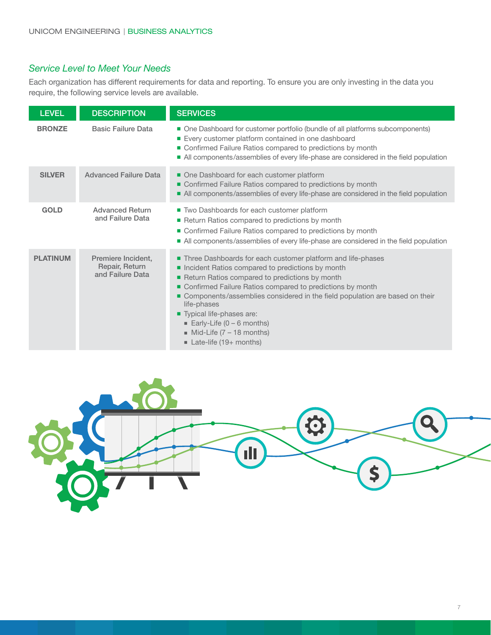#### *Service Level to Meet Your Needs*

Each organization has different requirements for data and reporting. To ensure you are only investing in the data you require, the following service levels are available.

| <b>LEVEL</b>    | <b>DESCRIPTION</b>                                       | <b>SERVICES</b>                                                                                                                                                                                                                                                                                                                                                                                                                                                             |
|-----------------|----------------------------------------------------------|-----------------------------------------------------------------------------------------------------------------------------------------------------------------------------------------------------------------------------------------------------------------------------------------------------------------------------------------------------------------------------------------------------------------------------------------------------------------------------|
| <b>BRONZE</b>   | <b>Basic Failure Data</b>                                | • One Dashboard for customer portfolio (bundle of all platforms subcomponents)<br>■ Every customer platform contained in one dashboard<br>• Confirmed Failure Ratios compared to predictions by month<br>In All components/assemblies of every life-phase are considered in the field population                                                                                                                                                                            |
| <b>SILVER</b>   | <b>Advanced Failure Data</b>                             | One Dashboard for each customer platform<br>Confirmed Failure Ratios compared to predictions by month<br>• All components/assemblies of every life-phase are considered in the field population                                                                                                                                                                                                                                                                             |
| <b>GOLD</b>     | <b>Advanced Return</b><br>and Failure Data               | ■ Two Dashboards for each customer platform<br>Return Ratios compared to predictions by month<br>• Confirmed Failure Ratios compared to predictions by month<br>■ All components/assemblies of every life-phase are considered in the field population                                                                                                                                                                                                                      |
| <b>PLATINUM</b> | Premiere Incident,<br>Repair, Return<br>and Failure Data | Three Dashboards for each customer platform and life-phases<br>Incident Ratios compared to predictions by month<br>Return Ratios compared to predictions by month<br>Confirmed Failure Ratios compared to predictions by month<br>Components/assemblies considered in the field population are based on their<br>life-phases<br>Typical life-phases are:<br>Early-Life $(0 - 6$ months)<br>$\blacksquare$ Mid-Life (7 - 18 months)<br>$\blacksquare$ Late-life (19+ months) |